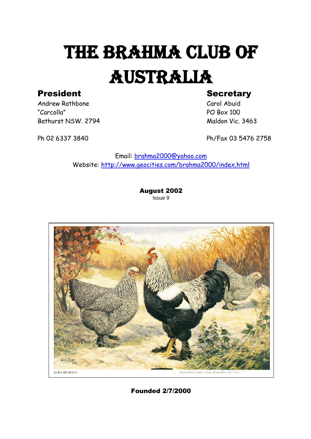# THE BRAHMA CLUB OF AUSTRALIA President Secretary

Andrew Rathbone Carol Abuid "Carcolla" PO Box 100 Bathurst NSW. 2794 Maldon Vic. 3463

Ph 02 6337 3840 Ph/Fax 03 5476 2758

Email: [brahma2000@yahoo.com](mailto:brahma2000@yahoo.com) Website:<http://www.geocities.com/brahma2000/index.html>

> August 2002 Issue 9



Founded 2/7/2000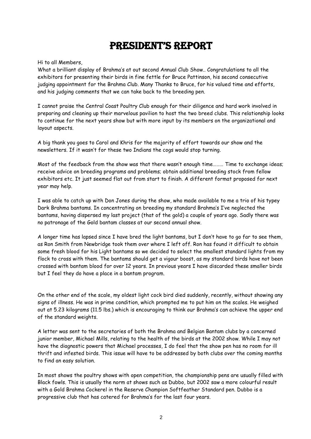### President's rePort

Hi to all Members,

What a brilliant display of Brahma's at out second Annual Club Show.. Congratulations to all the exhibitors for presenting their birds in fine fettle for Bruce Pattinson, his second consecutive judging appointment for the Brahma Club. Many Thanks to Bruce, for his valued time and efforts, and his judging comments that we can take back to the breeding pen.

I cannot praise the Central Coast Poultry Club enough for their diligence and hard work involved in preparing and cleaning up their marvelous pavilion to host the two breed clubs. This relationship looks to continue for the next years show but with more input by its members on the organizational and layout aspects.

A big thank you goes to Carol and Khris for the majority of effort towards our show and the newsletters. If it wasn't for these two Indians the cogs would stop turning.

Most of the feedback from the show was that there wasn't enough time……… Time to exchange ideas; receive advice on breeding programs and problems; obtain additional breeding stock from fellow exhibitors etc. It just seemed flat out from start to finish. A different format proposed for next year may help.

I was able to catch up with Don Jones during the show, who made available to me a trio of his typey Dark Brahma bantams. In concentrating on breeding my standard Brahma's I've neglected the bantams, having dispersed my last project (that of the gold) a couple of years ago. Sadly there was no patronage of the Gold bantam classes at our second annual show.

A longer time has lapsed since I have bred the light bantams, but I don't have to go far to see them, as Ron Smith from Newbridge took them over where I left off. Ron has found it difficult to obtain some fresh blood for his Light bantams so we decided to select the smallest standard lights from my flock to cross with them. The bantams should get a vigour boost, as my standard birds have not been crossed with bantam blood for over 12 years. In previous years I have discarded these smaller birds but I feel they do have a place in a bantam program.

On the other end of the scale, my oldest light cock bird died suddenly, recently, without showing any signs of illness. He was in prime condition, which prompted me to put him on the scales. He weighed out at 5.23 kilograms (11.5 lbs.) which is encouraging to think our Brahma's can achieve the upper end of the standard weights.

A letter was sent to the secretaries of both the Brahma and Belgian Bantam clubs by a concerned junior member, Michael Mills, relating to the health of the birds at the 2002 show. While I may not have the diagnostic powers that Michael processes, I do feel that the show pen has no room for ill thrift and infested birds. This issue will have to be addressed by both clubs over the coming months to find an easy solution.

In most shows the poultry shows with open competition, the championship pens are usually filled with Black fowls. This is usually the norm at shows such as Dubbo, but 2002 saw a more colourful result with a Gold Brahma Cockerel in the Reserve Champion Softfeather Standard pen. Dubbo is a progressive club that has catered for Brahma's for the last four years.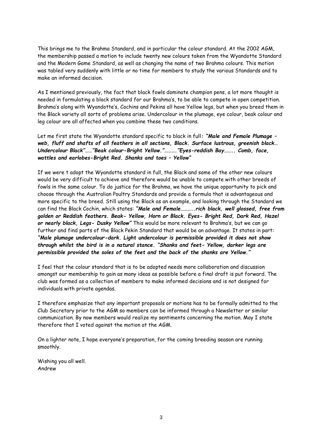This brings me to the Brahma Standard, and in particular the colour standard. At the 2002 AGM, the membership passed a motion to include twenty new colours taken from the Wyandotte Standard and the Modern Game Standard, as well as changing the name of two Brahma colours. This motion was tabled very suddenly with little or no time for members to study the various Standards and to make an informed decision.

As I mentioned previously, the fact that black fowls dominate champion pens, a lot more thought is needed in formulating a black standard for our Brahma's, to be able to compete in open competition. Brahma's along with Wyandotte's, Cochins and Pekins all have Yellow legs, but when you breed them in the Black variety all sorts of problems arise. Undercolour in the plumage, eye colour, beak colour and leg colour are all affected when you combine these two conditions.

Let me first state the Wyandotte standard specific to black in full*: "Male and Female Plumage – web, fluff and shafts of all feathers in all sections, Black. Surface lustrous, greenish black… Undercolour Black"……"Beak colour-Bright Yellow."………."Eyes-reddish Bay…….. Comb, face, wattles and earlobes-Bright Red. Shanks and toes – Yellow"*

If we were t adopt the Wyandotte standard in full, the Black and some of the other new colours would be very difficult to achieve and therefore would be unable to compete with other breeds of fowls in the same colour. To do justice for the Brahma, we have the unique opportunity to pick and choose through the Australian Poultry Standards and provide a formula that is advantageous and more specific to the breed. Still using the Black as an example, and looking through the Standard we can find the Black Cochin, which states: *"Male and Female………..rich black, well glossed, free from golden or Reddish feathers. Beak- Yellow, Horn or Black. Eyes- Bright Red, Dark Red, Hazel or nearly black, Legs- Dusky Yellow"* This would be more relevant to Brahma's, but we can go further and find parts of the Black Pekin Standard that would be an advantage. It states in part: *"Male plumage undercolour-dark. Light undercolour is permissible provided it does not show through whilst the bird is in a natural stance. "Shanks and feet- Yellow, darker legs are permissible provided the soles of the feet and the back of the shanks are Yellow."*

I feel that the colour standard that is to be adopted needs more collaboration and discussion amongst our membership to gain as many ideas as possible before a final draft is put forward. The club was formed as a collection of members to make informed decisions and is not designed for individuals with private agendas.

I therefore emphasize that any important proposals or motions has to be formally admitted to the Club Secretary prior to the AGM so members can be informed through a Newsletter or similar communication. By now members would realize my sentiments concerning the motion. May I state therefore that I voted against the motion at the AGM.

On a lighter note, I hope everyone's preparation, for the coming breeding season are running smoothly.

Wishing you all well. Andrew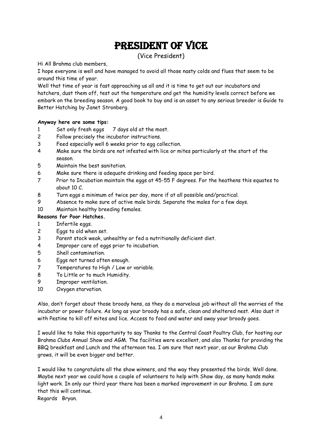### PRESIDENT OF VICE

(Vice President)

Hi All Brahma club members,

I hope everyone is well and have managed to avoid all those nasty colds and flues that seem to be around this time of year.

Well that time of year is fast approaching us all and it is time to get out our incubators and hatchers, dust them off, test out the temperature and get the humidity levels correct before we embark on the breeding season. A good book to buy and is an asset to any serious breeder is Guide to Better Hatching by Janet Stronberg.

#### **Anyway here are some tips:**

- 1 Set only fresh eggs 7 days old at the most.
- 2 Follow precisely the incubator instructions.
- 3 Feed especially well 6 weeks prior to egg collection.
- 4 Make sure the birds are not infested with lice or mites particularly at the start of the season.
- 5 Maintain the best sanitation.
- 6 Make sure there is adequate drinking and feeding space per bird.
- 7 Prior to Incubation maintain the eggs at 45-55 F degrees. For the heathens this equates to about 10 C.
- 8 Turn eggs a minimum of twice per day, more if at all possible and/practical.
- 9 Absence to make sure of active male birds. Separate the males for a few days.
- 10 Maintain healthy breeding females.

#### **Reasons for Poor Hatches.**

- 1 Infertile eggs.
- 2 Eggs to old when set.
- 3 Parent stock weak, unhealthy or fed a nutritionally deficient diet.
- 4 Improper care of eggs prior to incubation.
- 5 Shell contamination.
- 6 Eggs not turned often enough.
- 7 Temperatures to High / Low or variable.
- 8 To Little or to much Humidity.
- 9 Improper ventilation.
- 10 Oxygen starvation.

Also, don't forget about those broody hens, as they do a marvelous job without all the worries of the incubator or power failure. As long as your broody has a safe, clean and sheltered nest. Also dust it with Pestine to kill off mites and lice. Access to food and water and away your broody goes.

I would like to take this opportunity to say Thanks to the Central Coast Poultry Club, for hosting our Brahma Clubs Annual Show and AGM. The facilities were excellent, and also Thanks for providing the BBQ breakfast and Lunch and the afternoon tea. I am sure that next year, as our Brahma Club grows, it will be even bigger and better.

I would like to congratulate all the show winners, and the way they presented the birds. Well done. Maybe next year we could have a couple of volunteers to help with Show day, as many hands make light work. In only our third year there has been a marked improvement in our Brahma. I am sure that this will continue.

Regards Bryan.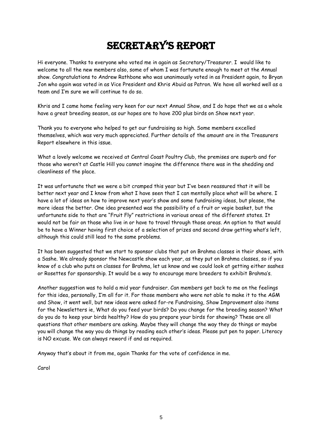## secretary's rePort

Hi everyone. Thanks to everyone who voted me in again as Secretary/Treasurer. I would like to welcome to all the new members also, some of whom I was fortunate enough to meet at the Annual show. Congratulations to Andrew Rathbone who was unanimously voted in as President again, to Bryan Jon who again was voted in as Vice President and Khris Abuid as Patron. We have all worked well as a team and I'm sure we will continue to do so.

Khris and I came home feeling very keen for our next Annual Show, and I do hope that we as a whole have a great breeding season, as our hopes are to have 200 plus birds on Show next year.

Thank you to everyone who helped to get our fundraising so high. Some members excelled themselves, which was very much appreciated. Further details of the amount are in the Treasurers Report elsewhere in this issue.

What a lovely welcome we received at Central Coast Poultry Club, the premises are superb and for those who weren't at Castle Hill you cannot imagine the difference there was in the shedding and cleanliness of the place.

It was unfortunate that we were a bit cramped this year but I've been reassured that it will be better next year and I know from what I have seen that I can mentally place what will be where. I have a lot of ideas on how to improve next year's show and some fundraising ideas, but please, the more ideas the better. One idea presented was the possibility of a fruit or vegie basket, but the unfortunate side to that are "Fruit Fly" restrictions in various areas of the different states. It would not be fair on those who live in or have to travel through those areas. An option to that would be to have a Winner having first choice of a selection of prizes and second draw getting what's left, although this could still lead to the same problems.

It has been suggested that we start to sponsor clubs that put on Brahma classes in their shows, with a Sashe. We already sponsor the Newcastle show each year, as they put on Brahma classes, so if you know of a club who puts on classes for Brahma, let us know and we could look at getting either sashes or Rosettes for sponsorship. It would be a way to encourage more breeders to exhibit Brahma's.

Another suggestion was to hold a mid year fundraiser. Can members get back to me on the feelings for this idea, personally, I'm all for it. For those members who were not able to make it to the AGM and Show, it went well, but new ideas were asked for-re Fundraising, Show Improvement also items for the Newsletters ie, What do you feed your birds? Do you change for the breeding season? What do you do to keep your birds healthy? How do you prepare your birds for showing? These are all questions that other members are asking. Maybe they will change the way they do things or maybe you will change the way you do things by reading each other's ideas. Please put pen to paper. Literacy is NO excuse. We can always reword if and as required.

Anyway that's about it from me, again Thanks for the vote of confidence in me.

Carol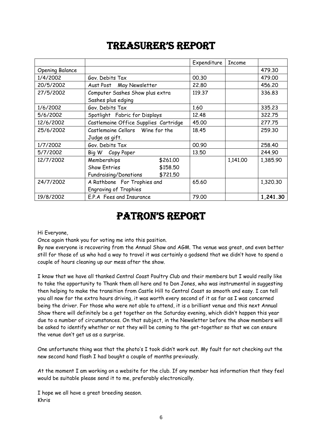### treasurer's rePort

|                        |                                       | Expenditure | <b>Income</b> |          |
|------------------------|---------------------------------------|-------------|---------------|----------|
| <b>Opening Balance</b> |                                       |             |               | 479.30   |
| 1/4/2002               | Gov. Debits Tax                       | 00.30       |               | 479.00   |
| 20/5/2002              | Aust Post May Newsletter              | 22,80       |               | 456.20   |
| 27/5/2002              | Computer Sashes Show plus extra       | 119.37      |               | 336.83   |
|                        | Sashes plus edging                    |             |               |          |
| 1/6/2002               | Gov. Debits Tax                       | 1.60        |               | 335.23   |
| 5/6/2002               | Spotlight Fabric for Displays         | 12.48       |               | 322.75   |
| 12/6/2002              | Castlemaine Office Supplies Cartridge | 45.00       |               | 277.75   |
| 25/6/2002              | Castlemaine Cellars Wine for the      | 18.45       |               | 259.30   |
|                        | Judge as gift.                        |             |               |          |
| 1/7/2002               | Gov. Debits Tax                       | 00.90       |               | 258.40   |
| 5/7/2002               | Big W Copy Paper                      | 13.50       |               | 244.90   |
| 12/7/2002              | Memberships<br>\$261.00               |             | 1,141.00      | 1,385.90 |
|                        | <b>Show Entries</b><br>\$158.50       |             |               |          |
|                        | \$721.50<br>Fundraising/Donations     |             |               |          |
| 24/7/2002              | A Rathbone For Trophies and           | 65.60       |               | 1,320.30 |
|                        | <b>Engraving of Trophies</b>          |             |               |          |
| 19/8/2002              | E.P.A Fees and Insurance              | 79.00       |               | 1,241.30 |

### Patron's rePort

Hi Everyone,

Once again thank you for voting me into this position.

By now everyone is recovering from the Annual Show and AGM. The venue was great, and even better still for those of us who had a way to travel it was certainly a godsend that we didn't have to spend a couple of hours cleaning up our mess after the show.

I know that we have all thanked Central Coast Poultry Club and their members but I would really like to take the opportunity to Thank them all here and to Don Jones, who was instrumental in suggesting then helping to make the transition from Castle Hill to Central Coast so smooth and easy. I can tell you all now for the extra hours driving, it was worth every second of it as far as I was concerned being the driver. For those who were not able to attend, it is a brilliant venue and this next Annual Show there will definitely be a get together on the Saturday evening, which didn't happen this year due to a number of circumstances. On that subject, in the Newsletter before the show members will be asked to identify whether or not they will be coming to the get-together so that we can ensure the venue don't get us as a surprise.

One unfortunate thing was that the photo's I took didn't work out. My fault for not checking out the new second hand flash I had bought a couple of months previously.

At the moment I am working on a website for the club. If any member has information that they feel would be suitable please send it to me, preferably electronically.

I hope we all have a great breeding season. Khris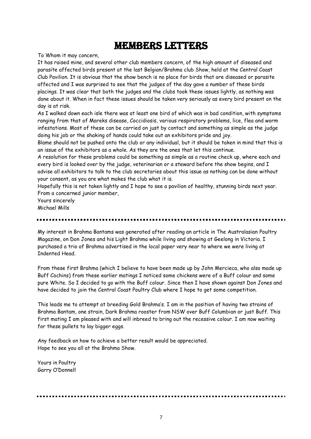### Members Letters

To Whom it may concern,

It has raised mine, and several other club members concern, of the high amount of diseased and parasite affected birds present at the last Belgian/Brahma club Show, held at the Central Coast Club Pavilion. It is obvious that the show bench is no place for birds that are diseased or parasite affected and I was surprised to see that the judges of the day gave a number of these birds placings. It was clear that both the judges and the clubs took these issues lightly, as nothing was done about it. When in fact these issues should be taken very seriously as every bird present on the day is at risk.

As I walked down each isle there was at least one bird of which was in bad condition, with symptoms ranging from that of Mareks disease, Coccidiosis, various respiratory problems, lice, flea and worm infestations. Most of these can be carried on just by contact and something as simple as the judge doing his job or the shaking of hands could take out an exhibitors pride and joy.

Blame should not be pushed onto the club or any individual, but it should be taken in mind that this is an issue of the exhibitors as a whole. As they are the ones that let this continue.

A resolution for these problems could be something as simple as a routine check up, where each and every bird is looked over by the judge, veterinarian or a steward before the show begins, and I advise all exhibitors to talk to the club secretaries about this issue as nothing can be done without your consent, as you are what makes the club what it is.

Hopefully this is not taken lightly and I hope to see a pavilion of healthy, stunning birds next year. From a concerned junior member,

Yours sincerely Michael Mills

My interest in Brahma Bantams was generated after reading an article in The Australasian Poultry Magazine, on Don Jones and his Light Brahma while living and showing at Geelong in Victoria. I purchased a trio of Brahma advertised in the local paper very near to where we were living at Indented Head.

From these first Brahma (which I believe to have been made up by John Mercieca, who also made up Buff Cochins) from these earlier matings I noticed some chickens were of a Buff colour and some pure White. So I decided to go with the Buff colour. Since then I have shown against Don Jones and have decided to join the Central Coast Poultry Club where I hope to get some competition.

This leads me to attempt at breeding Gold Brahma's. I am in the position of having two strains of Brahma Bantam, one strain, Dark Brahma rooster from NSW over Buff Columbian or just Buff. This first mating I am pleased with and will inbreed to bring out the recessive colour. I am now waiting for these pullets to lay bigger eggs.

Any feedback on how to achieve a better result would be appreciated. Hope to see you all at the Brahma Show.

Yours in Poultry Garry O'Donnell

. . . . . . . . . . . . . . .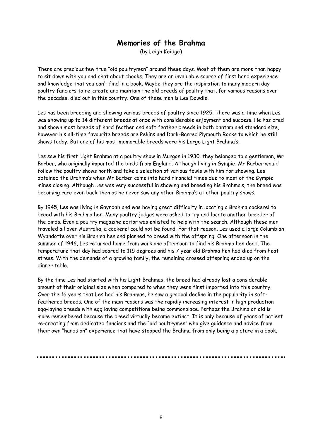### **Memories of the Brahma**

(by Leigh Keidge)

There are precious few true "old poultrymen" around these days. Most of them are more than happy to sit down with you and chat about chooks. They are an invaluable source of first hand experience and knowledge that you can't find in a book. Maybe they are the inspiration to many modern day poultry fanciers to re-create and maintain the old breeds of poultry that, for various reasons over the decades, died out in this country. One of these men is Les Dowdle.

Les has been breeding and showing various breeds of poultry since 1925. There was a time when Les was showing up to 14 different breeds at once with considerable enjoyment and success. He has bred and shown most breeds of hard feather and soft feather breeds in both bantam and standard size, however his all-time favourite breeds are Pekins and Dark-Barred Plymouth Rocks to which he still shows today. But one of his most memorable breeds were his Large Light Brahma's.

Les saw his first Light Brahma at a poultry show in Murgon in 1930. they belonged to a gentleman, Mr Barber, who originally imported the birds from England. Although living in Gympie, Mr Barber would follow the poultry shows north and take a selection of various fowls with him for showing. Les obtained the Brahma's when Mr Barber came into hard financial times due to most of the Gympie mines closing. Although Les was very successful in showing and breeding his Brahma's, the breed was becoming rare even back then as he never saw any other Brahma's at other poultry shows.

By 1945, Les was living in Gayndah and was having great difficulty in locating a Brahma cockerel to breed with his Brahma hen. Many poultry judges were asked to try and locate another breeder of the birds. Even a poultry magazine editor was enlisted to help with the search. Although these men traveled all over Australia, a cockerel could not be found. For that reason, Les used a large Columbian Wyandotte over his Brahma hen and planned to breed with the offspring. One afternoon in the summer of 1946, Les returned home from work one afternoon to find his Brahma hen dead. The temperature that day had soared to 115 degrees and his 7 year old Brahma hen had died from heat stress. With the demands of a growing family, the remaining crossed offspring ended up on the dinner table.

By the time Les had started with his Light Brahmas, the breed had already lost a considerable amount of their original size when compared to when they were first imported into this country. Over the 16 years that Les had his Brahmas, he saw a gradual decline in the popularity in softfeathered breeds. One of the main reasons was the rapidly increasing interest in high production egg-laying breeds with egg laying competitions being commonplace. Perhaps the Brahma of old is more remembered because the breed virtually became extinct. It is only because of years of patient re-creating from dedicated fanciers and the "old poultrymen" who give guidance and advice from their own "hands on" experience that have stopped the Brahma from only being a picture in a book.

8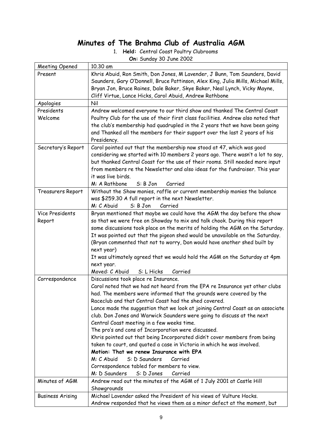### **Minutes of The Brahma Club of Australia AGM**

|  | 1. Held: Central Coast Poultry Clubrooms |
|--|------------------------------------------|
|  |                                          |

|  | On: Sunday 30 June 2002 |  |
|--|-------------------------|--|

| Meeting Opened            | 10.30 am                                                                                                                                                                                                                                                                                                                                                                                                                                                                                                                                                                                                                                                                                                                                                                                                                                                    |
|---------------------------|-------------------------------------------------------------------------------------------------------------------------------------------------------------------------------------------------------------------------------------------------------------------------------------------------------------------------------------------------------------------------------------------------------------------------------------------------------------------------------------------------------------------------------------------------------------------------------------------------------------------------------------------------------------------------------------------------------------------------------------------------------------------------------------------------------------------------------------------------------------|
| Present                   | Khris Abuid, Ron Smith, Don Jones, M Lavender, J Bunn, Tom Saunders, David<br>Saunders, Gary O'Donnell, Bruce Pattinson, Alex King, Julia Mills, Michael Mills,<br>Bryan Jon, Bruce Raines, Dale Baker, Skye Baker, Neal Lynch, Vicky Mayne,<br>Cliff Virtue, Lance Hicks, Carol Abuid, Andrew Rathbone                                                                                                                                                                                                                                                                                                                                                                                                                                                                                                                                                     |
| Apologies                 | Nil                                                                                                                                                                                                                                                                                                                                                                                                                                                                                                                                                                                                                                                                                                                                                                                                                                                         |
| Presidents<br>Welcome     | Andrew welcomed everyone to our third show and thanked The Central Coast<br>Poultry Club for the use of their first class facilities. Andrew also noted that<br>the club's membership had quadrupled in the 2 years that we have been going<br>and Thanked all the members for their support over the last 2 years of his<br>Presidency.                                                                                                                                                                                                                                                                                                                                                                                                                                                                                                                    |
| Secretary's Report        | Carol pointed out that the membership now stood at 47, which was good<br>considering we started with 10 members 2 years ago. There wasn't a lot to say,<br>but thanked Central Coast for the use of their rooms. Still needed more input<br>from members re the Newsletter and also ideas for the fundraiser. This year<br>it was live birds.<br>M: A Rathbone<br>S: B Jon<br>Carried                                                                                                                                                                                                                                                                                                                                                                                                                                                                       |
| Treasurers Report         | Without the Show monies, raffle or current membership monies the balance<br>was \$259.30 A full report in the next Newsletter.<br>M: C Abuid<br>S: B Jon<br>Carried                                                                                                                                                                                                                                                                                                                                                                                                                                                                                                                                                                                                                                                                                         |
| Vice Presidents<br>Report | Bryan mentioned that maybe we could have the AGM the day before the show<br>so that we were free on Showday to mix and talk chook. During this report<br>some discussions took place on the merits of holding the AGM on the Saturday.<br>It was pointed out that the pigeon shed would be unavailable on the Saturday.<br>(Bryan commented that not to worry, Don would have another shed built by<br>next year)<br>It was ultimately agreed that we would hold the AGM on the Saturday at 4pm<br>next year.                                                                                                                                                                                                                                                                                                                                               |
|                           | Moved: C Abuid<br>S: L Hicks<br>Carried                                                                                                                                                                                                                                                                                                                                                                                                                                                                                                                                                                                                                                                                                                                                                                                                                     |
| Correspondence            | Discussions took place re Insurance.<br>Carol noted that we had not heard from the EPA re Insurance yet other clubs<br>had. The members were informed that the grounds were covered by the<br>Raceclub and that Central Coast had the shed covered.<br>Lance made the suggestion that we look at joining Central Coast as an associate<br>club. Don Jones and Warwick Saunders were going to discuss at the next<br>Central Coast meeting in a few weeks time.<br>The pro's and cons of Incorporation were discussed.<br>Khris pointed out that being Incorporated didn't cover members from being<br>taken to court, and quoted a case in Victoria in which he was involved.<br>Motion: That we renew Insurance with EPA<br>S: D Saunders<br>M: C Abuid<br>Carried<br>Correspondence tabled for members to view.<br>M: D Saunders<br>S: D Jones<br>Carried |
| Minutes of AGM            | Andrew read out the minutes of the AGM of 1 July 2001 at Castle Hill<br>Showgrounds                                                                                                                                                                                                                                                                                                                                                                                                                                                                                                                                                                                                                                                                                                                                                                         |
| <b>Business Arising</b>   | Michael Lavender asked the President of his views of Vulture Hocks.                                                                                                                                                                                                                                                                                                                                                                                                                                                                                                                                                                                                                                                                                                                                                                                         |
|                           | Andrew responded that he views them as a minor defect at the moment, but                                                                                                                                                                                                                                                                                                                                                                                                                                                                                                                                                                                                                                                                                                                                                                                    |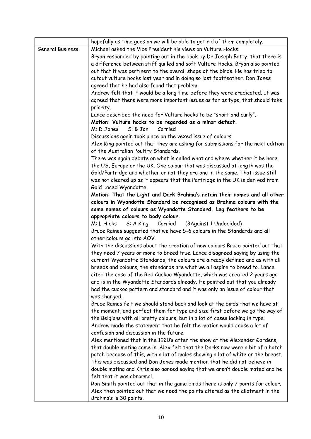|                         | hopefully as time goes on we will be able to get rid of them completely.                                                                                     |
|-------------------------|--------------------------------------------------------------------------------------------------------------------------------------------------------------|
| <b>General Business</b> | Michael asked the Vice President his views on Vulture Hocks.                                                                                                 |
|                         | Bryan responded by pointing out in the book by Dr Joseph Batty, that there is                                                                                |
|                         | a difference between stiff quilled and soft Vulture Hocks. Bryan also pointed                                                                                |
|                         | out that it was pertinent to the overall shape of the birds. He has tried to                                                                                 |
|                         | cutout vulture hocks last year and in doing so lost footfeather. Don Jones                                                                                   |
|                         | agreed that he had also found that problem.                                                                                                                  |
|                         | Andrew felt that it would be a long time before they were eradicated. It was                                                                                 |
|                         | agreed that there were more important issues as far as type, that should take                                                                                |
|                         | priority.                                                                                                                                                    |
|                         | Lance described the need for Vulture hocks to be "short and curly".                                                                                          |
|                         | Motion: Vulture hocks to be regarded as a minor defect.                                                                                                      |
|                         | S: B Jon<br>Carried<br>M: D Jones                                                                                                                            |
|                         | Discussions again took place on the vexed issue of colours.                                                                                                  |
|                         | Alex King pointed out that they are asking for submissions for the next edition                                                                              |
|                         | of the Australian Poultry Standards.                                                                                                                         |
|                         | There was again debate on what is called what and where whether it be here                                                                                   |
|                         | the US, Europe or the UK. One colour that was discussed at length was the                                                                                    |
|                         | Gold/Partridge and whether or not they are one in the same. That issue still                                                                                 |
|                         | was not cleared up as it appears that the Partridge in the UK is derived from                                                                                |
|                         | Gold Laced Wyandotte.                                                                                                                                        |
|                         | Motion: That the Light and Dark Brahma's retain their names and all other                                                                                    |
|                         | colours in Wyandotte Standard be recognised as Brahma colours with the                                                                                       |
|                         | same names of colours as Wyandotte Standard. Leg feathers to be                                                                                              |
|                         | appropriate colours to body colour.                                                                                                                          |
|                         | S: A King<br>M: L Hicks<br>Carried<br>(3Against 1 Undecided)                                                                                                 |
|                         | Bruce Raines suggested that we have 5-6 colours in the Standards and all                                                                                     |
|                         | other colours go into AOV.                                                                                                                                   |
|                         | With the discussions about the creation of new colours Bruce pointed out that                                                                                |
|                         | they need 7 years or more to breed true. Lance disagreed saying by using the<br>current Wyandotte Standards, the colours are already defined and as with all |
|                         | breeds and colours, the standards are what we all aspire to breed to. Lance                                                                                  |
|                         | cited the case of the Red Cuckoo Wyandotte, which was created 2 years ago                                                                                    |
|                         | and is in the Wyandotte Standards already. He pointed out that you already                                                                                   |
|                         | had the cuckoo pattern and standard and it was only an issue of colour that                                                                                  |
|                         | was changed.                                                                                                                                                 |
|                         | Bruce Raines felt we should stand back and look at the birds that we have at                                                                                 |
|                         | the moment, and perfect them for type and size first before we go the way of                                                                                 |
|                         | the Belgians with all pretty colours, but in a lot of cases lacking in type.                                                                                 |
|                         | Andrew made the statement that he felt the motion would cause a lot of                                                                                       |
|                         | confusion and discussion in the future.                                                                                                                      |
|                         | Alex mentioned that in the 1920's after the show at the Alexander Gardens,                                                                                   |
|                         | that double mating came in. Alex felt that the Darks now were a bit of a hotch                                                                               |
|                         | potch because of this, with a lot of males showing a lot of white on the breast.                                                                             |
|                         | This was discussed and Don Jones made mention that he did not believe in                                                                                     |
|                         | double mating and Khris also agreed saying that we aren't double mated and he                                                                                |
|                         | felt that it was abnormal.                                                                                                                                   |
|                         | Ron Smith pointed out that in the game birds there is only 7 points for colour.                                                                              |
|                         | Alex then pointed out that we need the points altered as the allotment in the                                                                                |
|                         | Brahma's is 30 points.                                                                                                                                       |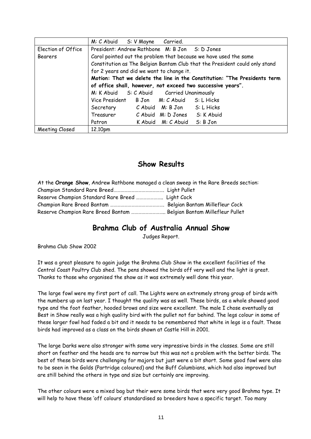|                    | M: C Abuid S: V Mayne Carried.                                              |  |  |
|--------------------|-----------------------------------------------------------------------------|--|--|
| Election of Office | President: Andrew Rathbone M: B Jon S: D Jones                              |  |  |
| Bearers            | Carol pointed out the problem that because we have used the same            |  |  |
|                    | Constitution as The Belgian Bantam Club that the President could only stand |  |  |
|                    | for 2 years and did we want to change it.                                   |  |  |
|                    | Motion: That we delete the line in the Constitution: "The Presidents term   |  |  |
|                    | of office shall, however, not exceed two successive years".                 |  |  |
|                    | M: K Abuid S: C Abuid Carried Unanimously                                   |  |  |
|                    | Vice President B Jon M: C Abuid S: L Hicks                                  |  |  |
|                    | Secretary C Abuid M: B Jon S: L Hicks                                       |  |  |
|                    | Treasurer C Abuid M: D Jones S: K Abuid                                     |  |  |
|                    | K Abuid M: C Abuid S: B Jon<br>Patron                                       |  |  |
| Meeting Closed     | 12.10pm                                                                     |  |  |

#### **Show Results**

| At the Orange Show, Andrew Rathbone managed a clean sweep in the Rare Breeds section: |  |
|---------------------------------------------------------------------------------------|--|
|                                                                                       |  |
|                                                                                       |  |
|                                                                                       |  |
|                                                                                       |  |

#### **Brahma Club of Australia Annual Show**

Judges Report.

Brahma Club Show 2002

It was a great pleasure to again judge the Brahma Club Show in the excellent facilities of the Central Coast Poultry Club shed. The pens showed the birds off very well and the light is great. Thanks to those who organised the show as it was extremely well done this year.

The large fowl were my first port of call. The Lights were an extremely strong group of birds with the numbers up on last year. I thought the quality was as well. These birds, as a whole showed good type and the foot feather, hooded brows and size were excellent. The male I chose eventually as Best in Show really was a high quality bird with the pullet not far behind. The legs colour in some of these larger fowl had faded a bit and it needs to be remembered that white in legs is a fault. These birds had improved as a class on the birds shown at Castle Hill in 2001.

The large Darks were also stronger with some very impressive birds in the classes. Some are still short on feather and the heads are to narrow but this was not a problem with the better birds. The best of these birds were challenging for majors but just were a bit short. Some good fowl were also to be seen in the Golds (Partridge coloured) and the Buff Columbians, which had also improved but are still behind the others in type and size but certainly are improving.

The other colours were a mixed bag but their were some birds that were very good Brahma type. It will help to have these 'off colours' standardised so breeders have a specific target. Too many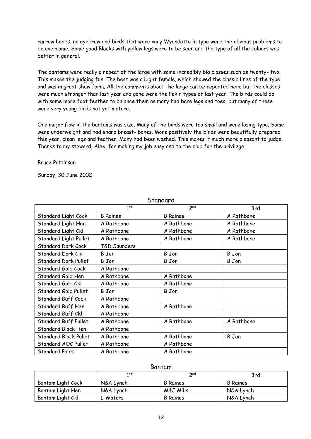narrow heads, no eyebrow and birds that were very Wyandotte in type were the obvious problems to be overcome. Some good Blacks with yellow legs were to be seen and the type of all the colours was better in general.

The bantams were really a repeat of the large with some incredibly big classes such as twenty- two. This makes the judging fun. The best was a Light female, which showed the classic lines of the type and was in great show form. All the comments about the large can be repeated here but the classes were much stronger than last year and gone were the Pekin types of last year. The birds could do with some more foot feather to balance them as many had bare legs and toes, but many of these were very young birds not yet mature.

One major flaw in the bantams was size. Many of the birds were too small and were losing type. Some were underweight and had sharp breast- bones. More positively the birds were beautifully prepared this year, clean legs and feather. Many had been washed. This makes it much more pleasant to judge. Thanks to my steward, Alex, for making my job easy and to the club for the privilege.

Bruce Pattinson

Sunday, 30 June 2002

|                              | 1 <sup>st</sup> | 2 <sub>nd</sub> | 3rd          |
|------------------------------|-----------------|-----------------|--------------|
| Standard Light Cock          | <b>B</b> Raines | <b>B</b> Raines | A Rathbone   |
| Standard Light Hen           | A Rathbone      | A Rathbone      | A Rathbone   |
| Standard Light Ckl.          | A Rathbone      | A Rathbone      | A Rathbone   |
| Standard Light Pullet        | A Rathbone      | A Rathbone      | A Rathbone   |
| <b>Standard Dark Cock</b>    | T&D Saunders    |                 |              |
| Standard Dark Ckl            | B Jon           | <b>B</b> Jon    | <b>B</b> Jon |
| <b>Standard Dark Pullet</b>  | <b>B</b> Jon    | <b>B</b> Jon    | B Jon        |
| Standard Gold Cock           | A Rathbone      |                 |              |
| Standard Gold Hen            | A Rathbone      | A Rathbone      |              |
| Standard Gold Ckl            | A Rathbone      | A Rathbone      |              |
| Standard Gold Pullet         | B Jon           | <b>B</b> Jon    |              |
| Standard Buff Cock           | A Rathbone      |                 |              |
| Standard Buff Hen            | A Rathbone      | A Rathbone      |              |
| Standard Buff Ckl            | A Rathbone      |                 |              |
| Standard Buff Pullet         | A Rathbone      | A Rathbone      | A Rathbone   |
| Standard Black Hen           | A Rathbone      |                 |              |
| <b>Standard Black Pullet</b> | A Rathbone      | A Rathbone      | <b>B</b> Jon |
| Standard AOC Pullet          | A Rathbone      | A Rathbone      |              |
| <b>Standard Pairs</b>        | A Rathbone      | A Rathbone      |              |

**Standard** 

#### Bantam

|                   | 1st       | 2 <sub>nd</sub> | 3rd             |
|-------------------|-----------|-----------------|-----------------|
| Bantam Light Cock | N&A Lynch | <b>B</b> Raines | <b>B</b> Raines |
| Bantam Light Hen  | N&A Lynch | M&J Mills       | N&A Lynch       |
| Bantam Light Ckl  | ∟ Waters  | <b>B</b> Raines | N&A Lynch       |